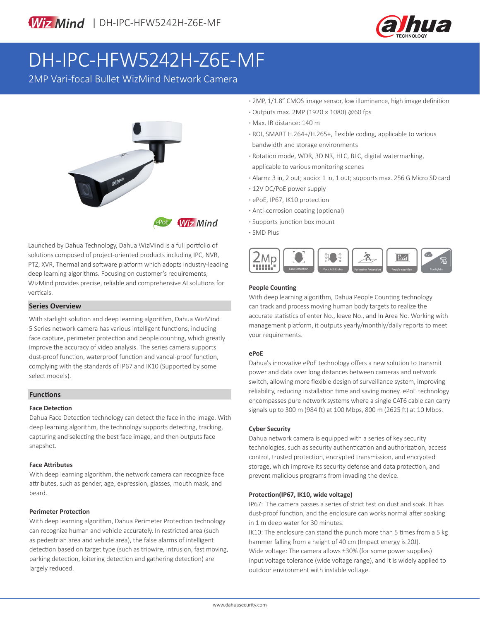

# DH-IPC-HFW5242H-Z6E-MF

2MP Vari-focal Bullet WizMind Network Camera



Launched by Dahua Technology, Dahua WizMind is a full portfolio of solutions composed of project-oriented products including IPC, NVR, PTZ, XVR, Thermal and software platform which adopts industry-leading deep learning algorithms. Focusing on customer's requirements, WizMind provides precise, reliable and comprehensive AI solutions for verticals.

#### **Series Overview**

With starlight solution and deep learning algorithm, Dahua WizMind 5 Series network camera has various intelligent functions, including face capture, perimeter protection and people counting, which greatly improve the accuracy of video analysis. The series camera supports dust-proof function, waterproof function and vandal-proof function, complying with the standards of IP67 and IK10 (Supported by some select models).

#### **Functions**

#### **Face Detection**

Dahua Face Detection technology can detect the face in the image. With deep learning algorithm, the technology supports detecting, tracking, capturing and selecting the best face image, and then outputs face snapshot.

#### **Face Attributes**

With deep learning algorithm, the network camera can recognize face attributes, such as gender, age, expression, glasses, mouth mask, and beard.

#### **Perimeter Protection**

With deep learning algorithm, Dahua Perimeter Protection technology can recognize human and vehicle accurately. In restricted area (such as pedestrian area and vehicle area), the false alarms of intelligent detection based on target type (such as tripwire, intrusion, fast moving, parking detection, loitering detection and gathering detection) are largely reduced.

- **·** 2MP, 1/1.8" CMOS image sensor, low illuminance, high image definition
- **·** Outputs max. 2MP (1920 × 1080) @60 fps
- **·** Max. IR distance: 140 m
- **·** ROI, SMART H.264+/H.265+, flexible coding, applicable to various bandwidth and storage environments
- **·** Rotation mode, WDR, 3D NR, HLC, BLC, digital watermarking, applicable to various monitoring scenes
- **·** Alarm: 3 in, 2 out; audio: 1 in, 1 out; supports max. 256 G Micro SD card
- **·** 12V DC/PoE power supply
- **·** ePoE, IP67, IK10 protection
- **·** Anti-corrosion coating (optional)
- **·** Supports junction box mount
- **·** SMD Plus



#### **People Counting**

With deep learning algorithm, Dahua People Counting technology can track and process moving human body targets to realize the accurate statistics of enter No., leave No., and In Area No. Working with management platform, it outputs yearly/monthly/daily reports to meet your requirements.

#### **ePoE**

Dahua's innovative ePoE technology offers a new solution to transmit power and data over long distances between cameras and network switch, allowing more flexible design of surveillance system, improving reliability, reducing installation time and saving money. ePoE technology encompasses pure network systems where a single CAT6 cable can carry signals up to 300 m (984 ft) at 100 Mbps, 800 m (2625 ft) at 10 Mbps.

#### **Cyber Security**

Dahua network camera is equipped with a series of key security technologies, such as security authentication and authorization, access control, trusted protection, encrypted transmission, and encrypted storage, which improve its security defense and data protection, and prevent malicious programs from invading the device.

#### **Protection(IP67, IK10, wide voltage)**

IP67: The camera passes a series of strict test on dust and soak. It has dust-proof function, and the enclosure can works normal after soaking in 1 m deep water for 30 minutes.

IK10: The enclosure can stand the punch more than 5 times from a 5 kg hammer falling from a height of 40 cm (Impact energy is 20J). Wide voltage: The camera allows ±30% (for some power supplies) input voltage tolerance (wide voltage range), and it is widely applied to outdoor environment with instable voltage.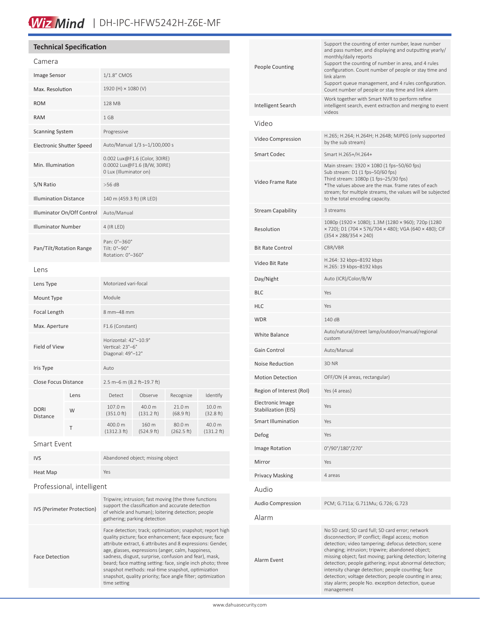# Wiz Mind | DH-IPC-HFW5242H-Z6E-MF

# **Technical Specification**

| Camera                          |      |                                                                                         |                                |                      |                      |
|---------------------------------|------|-----------------------------------------------------------------------------------------|--------------------------------|----------------------|----------------------|
| <b>Image Sensor</b>             |      | 1/1.8" CMOS                                                                             |                                |                      |                      |
| Max. Resolution                 |      | 1920 (H) × 1080 (V)                                                                     |                                |                      |                      |
| <b>ROM</b>                      |      | 128 MB                                                                                  |                                |                      |                      |
| <b>RAM</b>                      |      | 1 GB                                                                                    |                                |                      |                      |
| <b>Scanning System</b>          |      | Progressive                                                                             |                                |                      |                      |
| <b>Electronic Shutter Speed</b> |      | Auto/Manual 1/3 s-1/100,000 s                                                           |                                |                      |                      |
| Min. Illumination               |      | 0.002 Lux@F1.6 (Color, 30IRE)<br>0.0002 Lux@F1.6 (B/W, 30IRE)<br>0 Lux (Illuminator on) |                                |                      |                      |
| S/N Ratio                       |      | $>56$ dB                                                                                |                                |                      |                      |
| <b>Illumination Distance</b>    |      | 140 m (459.3 ft) (IR LED)                                                               |                                |                      |                      |
| Illuminator On/Off Control      |      | Auto/Manual                                                                             |                                |                      |                      |
| <b>Illuminator Number</b>       |      | 4 (IR LED)                                                                              |                                |                      |                      |
| Pan/Tilt/Rotation Range         |      | Pan: 0°-360°<br>Tilt: 0°-90°<br>Rotation: 0°-360°                                       |                                |                      |                      |
| Lens                            |      |                                                                                         |                                |                      |                      |
| Lens Type                       |      | Motorized vari-focal                                                                    |                                |                      |                      |
| Mount Type                      |      | Module                                                                                  |                                |                      |                      |
| Focal Length                    |      | 8 mm-48 mm                                                                              |                                |                      |                      |
| Max. Aperture                   |      | F1.6 (Constant)                                                                         |                                |                      |                      |
| Field of View                   |      | Horizontal: 42°-10.9°<br>Vertical: 23°-6°<br>Diagonal: 49°-12°                          |                                |                      |                      |
| Iris Type                       |      | Auto                                                                                    |                                |                      |                      |
| <b>Close Focus Distance</b>     |      | 2.5 m-6 m (8.2 ft-19.7 ft)                                                              |                                |                      |                      |
| <b>DORI</b><br>Distance         | Lens | Detect                                                                                  | Observe                        | Recognize            | Identify             |
|                                 | W    | 107.0 m<br>$(351.0 \text{ ft})$                                                         | 40.0 m<br>$(131.2 \text{ ft})$ | 21.0 m<br>(68.9 ft)  | 10.0 m<br>(32.8 ft)  |
|                                 | T    | 400.0 m<br>(1312.3 ft)                                                                  | 160 m<br>(524.9 ft)            | 80.0 m<br>(262.5 ft) | 40.0 m<br>(131.2 ft) |
| ---                             |      |                                                                                         |                                |                      |                      |

#### Smart Event

| <b>IVS</b>                 | Abandoned object; missing object                                                                                                                                                                                                                                                                                                                                                                                                                                                                       |  |  |  |
|----------------------------|--------------------------------------------------------------------------------------------------------------------------------------------------------------------------------------------------------------------------------------------------------------------------------------------------------------------------------------------------------------------------------------------------------------------------------------------------------------------------------------------------------|--|--|--|
| Heat Map                   | Yes                                                                                                                                                                                                                                                                                                                                                                                                                                                                                                    |  |  |  |
| Professional, intelligent  |                                                                                                                                                                                                                                                                                                                                                                                                                                                                                                        |  |  |  |
| IVS (Perimeter Protection) | Tripwire; intrusion; fast moving (the three functions<br>support the classification and accurate detection<br>of vehicle and human); loitering detection; people<br>gathering; parking detection                                                                                                                                                                                                                                                                                                       |  |  |  |
| <b>Face Detection</b>      | Face detection; track; optimization; snapshot; report high<br>quality picture; face enhancement; face exposure; face<br>attribute extract, 6 attributes and 8 expressions: Gender,<br>age, glasses, expressions (anger, calm, happiness,<br>sadness, disgust, surprise, confusion and fear), mask,<br>beard; face matting setting: face, single inch photo; three<br>snapshot methods: real-time snapshot, optimization<br>snapshot, quality priority; face angle filter; optimization<br>time setting |  |  |  |

| <b>People Counting</b>                  | Support the counting of enter number, leave number<br>and pass number, and displaying and outputting yearly/<br>monthly/daily reports<br>Support the counting of number in area, and 4 rules<br>configuration. Count number of people or stay time and<br>link alarm<br>Support queue management, and 4 rules configuration.<br>Count number of people or stay time and link alarm                                                                                                                                          |  |
|-----------------------------------------|-----------------------------------------------------------------------------------------------------------------------------------------------------------------------------------------------------------------------------------------------------------------------------------------------------------------------------------------------------------------------------------------------------------------------------------------------------------------------------------------------------------------------------|--|
| Intelligent Search                      | Work together with Smart NVR to perform refine<br>intelligent search, event extraction and merging to event<br>videos                                                                                                                                                                                                                                                                                                                                                                                                       |  |
| Video                                   |                                                                                                                                                                                                                                                                                                                                                                                                                                                                                                                             |  |
| Video Compression                       | H.265; H.264; H.264H; H.264B; MJPEG (only supported<br>by the sub stream)                                                                                                                                                                                                                                                                                                                                                                                                                                                   |  |
| <b>Smart Codec</b>                      | Smart H.265+/H.264+                                                                                                                                                                                                                                                                                                                                                                                                                                                                                                         |  |
| Video Frame Rate                        | Main stream: 1920 × 1080 (1 fps-50/60 fps)<br>Sub stream: D1 (1 fps-50/60 fps)<br>Third stream: 1080p (1 fps-25/30 fps)<br>*The values above are the max. frame rates of each<br>stream; for multiple streams, the values will be subjected<br>to the total encoding capacity.                                                                                                                                                                                                                                              |  |
| <b>Stream Capability</b>                | 3 streams                                                                                                                                                                                                                                                                                                                                                                                                                                                                                                                   |  |
| Resolution                              | 1080p (1920 × 1080); 1.3M (1280 × 960); 720p (1280<br>× 720); D1 (704 × 576/704 × 480); VGA (640 × 480); CIF<br>$(354 \times 288/354 \times 240)$                                                                                                                                                                                                                                                                                                                                                                           |  |
| <b>Bit Rate Control</b>                 | CBR/VBR                                                                                                                                                                                                                                                                                                                                                                                                                                                                                                                     |  |
| Video Bit Rate                          | H.264: 32 kbps-8192 kbps<br>H.265: 19 kbps-8192 kbps                                                                                                                                                                                                                                                                                                                                                                                                                                                                        |  |
| Day/Night                               | Auto (ICR)/Color/B/W                                                                                                                                                                                                                                                                                                                                                                                                                                                                                                        |  |
| <b>BLC</b>                              | Yes                                                                                                                                                                                                                                                                                                                                                                                                                                                                                                                         |  |
| <b>HLC</b>                              | Yes                                                                                                                                                                                                                                                                                                                                                                                                                                                                                                                         |  |
| <b>WDR</b>                              | 140 dB                                                                                                                                                                                                                                                                                                                                                                                                                                                                                                                      |  |
| White Balance                           | Auto/natural/street lamp/outdoor/manual/regional<br>custom                                                                                                                                                                                                                                                                                                                                                                                                                                                                  |  |
| Gain Control                            | Auto/Manual                                                                                                                                                                                                                                                                                                                                                                                                                                                                                                                 |  |
| Noise Reduction                         | 3D NR                                                                                                                                                                                                                                                                                                                                                                                                                                                                                                                       |  |
| <b>Motion Detection</b>                 | OFF/ON (4 areas, rectangular)                                                                                                                                                                                                                                                                                                                                                                                                                                                                                               |  |
| Region of Interest (RoI)                | Yes (4 areas)                                                                                                                                                                                                                                                                                                                                                                                                                                                                                                               |  |
| Electronic Image<br>Stabilization (EIS) | Yes                                                                                                                                                                                                                                                                                                                                                                                                                                                                                                                         |  |
| <b>Smart Illumination</b>               | Yes                                                                                                                                                                                                                                                                                                                                                                                                                                                                                                                         |  |
| Defog                                   | Yes                                                                                                                                                                                                                                                                                                                                                                                                                                                                                                                         |  |
| Image Rotation                          | 0°/90°/180°/270°                                                                                                                                                                                                                                                                                                                                                                                                                                                                                                            |  |
| Mirror                                  | Yes                                                                                                                                                                                                                                                                                                                                                                                                                                                                                                                         |  |
| <b>Privacy Masking</b>                  | 4 areas                                                                                                                                                                                                                                                                                                                                                                                                                                                                                                                     |  |
| Audio                                   |                                                                                                                                                                                                                                                                                                                                                                                                                                                                                                                             |  |
| <b>Audio Compression</b>                | PCM; G.711a; G.711Mu; G.726; G.723                                                                                                                                                                                                                                                                                                                                                                                                                                                                                          |  |
| Alarm                                   |                                                                                                                                                                                                                                                                                                                                                                                                                                                                                                                             |  |
| Alarm Event                             | No SD card; SD card full; SD card error; network<br>disconnection; IP conflict; illegal access; motion<br>detection; video tampering; defocus detection; scene<br>changing; intrusion; tripwire; abandoned object;<br>missing object; fast moving; parking detection; loitering<br>detection; people gathering; input abnormal detection;<br>intensity change detection; people counting; face<br>detection; voltage detection; people counting in area;<br>stay alarm; people No. exception detection, queue<br>management |  |